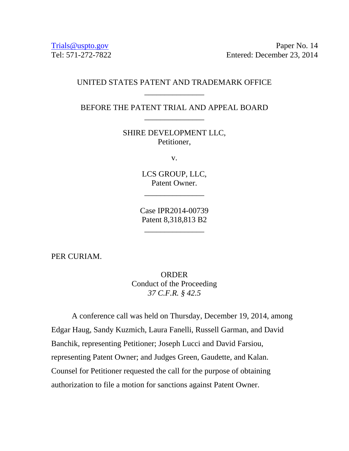Trials @uspto.gov Paper No. 14 Tel: 571-272-7822 Entered: December 23, 2014

## UNITED STATES PATENT AND TRADEMARK OFFICE \_\_\_\_\_\_\_\_\_\_\_\_\_\_\_

BEFORE THE PATENT TRIAL AND APPEAL BOARD \_\_\_\_\_\_\_\_\_\_\_\_\_\_\_

> SHIRE DEVELOPMENT LLC, Petitioner,

> > v.

LCS GROUP, LLC, Patent Owner.

\_\_\_\_\_\_\_\_\_\_\_\_\_\_\_

Case IPR2014-00739 Patent 8,318,813 B2

\_\_\_\_\_\_\_\_\_\_\_\_\_\_\_

PER CURIAM.

**ORDER** Conduct of the Proceeding *37 C.F.R. § 42.5* 

A conference call was held on Thursday, December 19, 2014, among Edgar Haug, Sandy Kuzmich, Laura Fanelli, Russell Garman, and David Banchik, representing Petitioner; Joseph Lucci and David Farsiou, representing Patent Owner; and Judges Green, Gaudette, and Kalan. Counsel for Petitioner requested the call for the purpose of obtaining authorization to file a motion for sanctions against Patent Owner.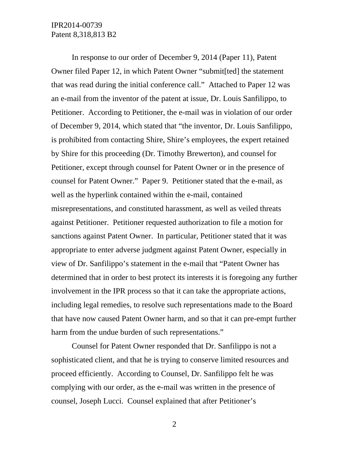## IPR2014-00739 Patent 8,318,813 B2

 In response to our order of December 9, 2014 (Paper 11), Patent Owner filed Paper 12, in which Patent Owner "submit[ted] the statement that was read during the initial conference call." Attached to Paper 12 was an e-mail from the inventor of the patent at issue, Dr. Louis Sanfilippo, to Petitioner. According to Petitioner, the e-mail was in violation of our order of December 9, 2014, which stated that "the inventor, Dr. Louis Sanfilippo, is prohibited from contacting Shire, Shire's employees, the expert retained by Shire for this proceeding (Dr. Timothy Brewerton), and counsel for Petitioner, except through counsel for Patent Owner or in the presence of counsel for Patent Owner." Paper 9. Petitioner stated that the e-mail, as well as the hyperlink contained within the e-mail, contained misrepresentations, and constituted harassment, as well as veiled threats against Petitioner. Petitioner requested authorization to file a motion for sanctions against Patent Owner. In particular, Petitioner stated that it was appropriate to enter adverse judgment against Patent Owner, especially in view of Dr. Sanfilippo's statement in the e-mail that "Patent Owner has determined that in order to best protect its interests it is foregoing any further involvement in the IPR process so that it can take the appropriate actions, including legal remedies, to resolve such representations made to the Board that have now caused Patent Owner harm, and so that it can pre-empt further harm from the undue burden of such representations."

 Counsel for Patent Owner responded that Dr. Sanfilippo is not a sophisticated client, and that he is trying to conserve limited resources and proceed efficiently. According to Counsel, Dr. Sanfilippo felt he was complying with our order, as the e-mail was written in the presence of counsel, Joseph Lucci. Counsel explained that after Petitioner's

2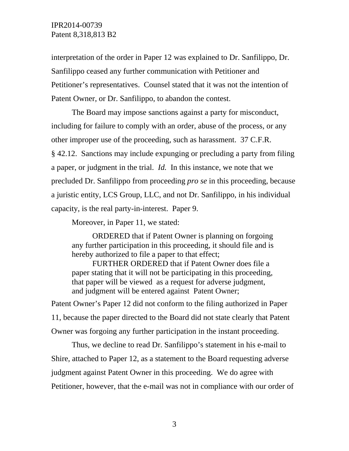interpretation of the order in Paper 12 was explained to Dr. Sanfilippo, Dr. Sanfilippo ceased any further communication with Petitioner and Petitioner's representatives. Counsel stated that it was not the intention of Patent Owner, or Dr. Sanfilippo, to abandon the contest.

 The Board may impose sanctions against a party for misconduct, including for failure to comply with an order, abuse of the process, or any other improper use of the proceeding, such as harassment. 37 C.F.R. § 42.12. Sanctions may include expunging or precluding a party from filing a paper, or judgment in the trial. *Id.* In this instance, we note that we precluded Dr. Sanfilippo from proceeding *pro se* in this proceeding, because a juristic entity, LCS Group, LLC, and not Dr. Sanfilippo, in his individual capacity, is the real party-in-interest. Paper 9.

Moreover, in Paper 11, we stated:

ORDERED that if Patent Owner is planning on forgoing any further participation in this proceeding, it should file and is hereby authorized to file a paper to that effect;

FURTHER ORDERED that if Patent Owner does file a paper stating that it will not be participating in this proceeding, that paper will be viewed as a request for adverse judgment, and judgment will be entered against Patent Owner;

Patent Owner's Paper 12 did not conform to the filing authorized in Paper 11, because the paper directed to the Board did not state clearly that Patent Owner was forgoing any further participation in the instant proceeding.

Thus, we decline to read Dr. Sanfilippo's statement in his e-mail to Shire, attached to Paper 12, as a statement to the Board requesting adverse judgment against Patent Owner in this proceeding. We do agree with Petitioner, however, that the e-mail was not in compliance with our order of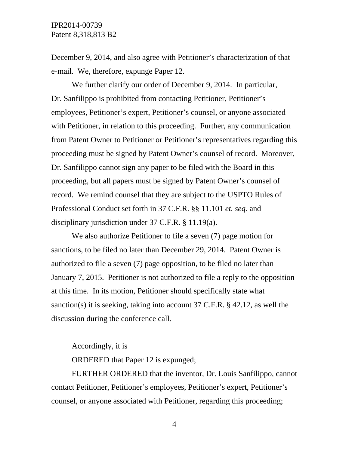December 9, 2014, and also agree with Petitioner's characterization of that e-mail. We, therefore, expunge Paper 12.

 We further clarify our order of December 9, 2014. In particular, Dr. Sanfilippo is prohibited from contacting Petitioner, Petitioner's employees, Petitioner's expert, Petitioner's counsel, or anyone associated with Petitioner, in relation to this proceeding. Further, any communication from Patent Owner to Petitioner or Petitioner's representatives regarding this proceeding must be signed by Patent Owner's counsel of record. Moreover, Dr. Sanfilippo cannot sign any paper to be filed with the Board in this proceeding, but all papers must be signed by Patent Owner's counsel of record. We remind counsel that they are subject to the USPTO Rules of Professional Conduct set forth in 37 C.F.R. §§ 11.101 *et. seq*. and disciplinary jurisdiction under 37 C.F.R. § 11.19(a).

 We also authorize Petitioner to file a seven (7) page motion for sanctions, to be filed no later than December 29, 2014. Patent Owner is authorized to file a seven (7) page opposition, to be filed no later than January 7, 2015. Petitioner is not authorized to file a reply to the opposition at this time. In its motion, Petitioner should specifically state what sanction(s) it is seeking, taking into account 37 C.F.R. § 42.12, as well the discussion during the conference call.

## Accordingly, it is

ORDERED that Paper 12 is expunged;

FURTHER ORDERED that the inventor, Dr. Louis Sanfilippo, cannot contact Petitioner, Petitioner's employees, Petitioner's expert, Petitioner's counsel, or anyone associated with Petitioner, regarding this proceeding;

4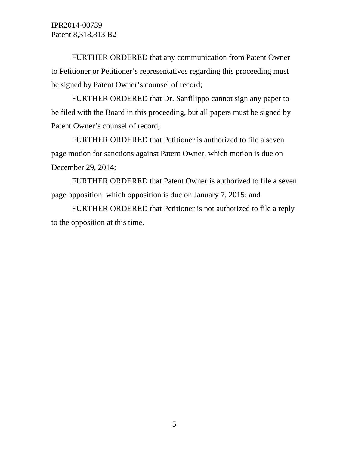IPR2014-00739 Patent 8,318,813 B2

FURTHER ORDERED that any communication from Patent Owner to Petitioner or Petitioner's representatives regarding this proceeding must be signed by Patent Owner's counsel of record;

FURTHER ORDERED that Dr. Sanfilippo cannot sign any paper to be filed with the Board in this proceeding, but all papers must be signed by Patent Owner's counsel of record;

FURTHER ORDERED that Petitioner is authorized to file a seven page motion for sanctions against Patent Owner, which motion is due on December 29, 2014;

FURTHER ORDERED that Patent Owner is authorized to file a seven page opposition, which opposition is due on January 7, 2015; and

FURTHER ORDERED that Petitioner is not authorized to file a reply to the opposition at this time.